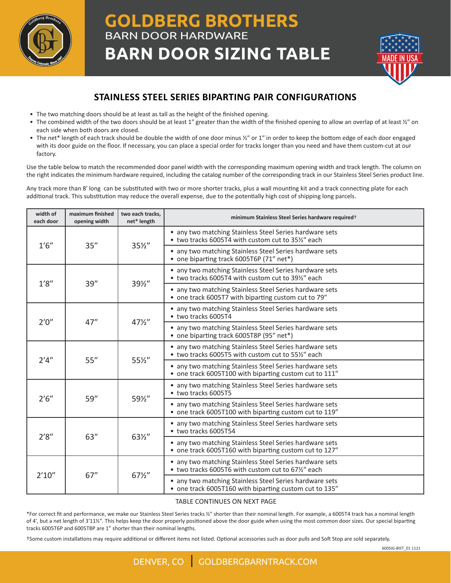

## **GOLDBERG BROTHERS** BARN DOOR HARDWARE **BARN DOOR SIZING TABLE**



## **STAINLESS STEEL SERIES BIPARTING PAIR CONFIGURATIONS**

- The two matching doors should be at least as tall as the height of the finished opening.
- The combined width of the two doors should be at least 1" greater than the width of the finished opening to allow an overlap of at least  $\frac{y}{n}$  on each side when both doors are closed.
- The net\* length of each track should be double the width of one door minus ½" or 1" in order to keep the bottom edge of each door engaged with its door guide on the floor. If necessary, you can place a special order for tracks longer than you need and have them custom-cut at our factory.

Use the table below to match the recommended door panel width with the corresponding maximum opening width and track length. The column on the right indicates the minimum hardware required, including the catalog number of the corresponding track in our Stainless Steel Series product line.

Any track more than 8ʹ long can be substituted with two or more shorter tracks, plus a wall mounting kit and a track connecting plate for each additional track. This substitution may reduce the overall expense, due to the potentially high cost of shipping long parcels.

| width of<br>each door | maximum finished<br>opening width | two each tracks,<br>net* length | minimum Stainless Steel Series hardware required <sup>+</sup>                                                     |
|-----------------------|-----------------------------------|---------------------------------|-------------------------------------------------------------------------------------------------------------------|
| 1'6''                 | 35''                              | $35\frac{1}{2}$                 | • any two matching Stainless Steel Series hardware sets<br>• two tracks 6005T4 with custom cut to 35½" each       |
|                       |                                   |                                 | • any two matching Stainless Steel Series hardware sets<br>• one biparting track 6005T6P (71" net*)               |
| 1'8''                 | 39''                              | 391/2"                          | • any two matching Stainless Steel Series hardware sets<br>• two tracks 6005T4 with custom cut to 391/2" each     |
|                       |                                   |                                 | • any two matching Stainless Steel Series hardware sets<br>• one track 6005T7 with biparting custom cut to 79"    |
| 2'0''                 | 47''                              | $47\frac{1}{2}$                 | • any two matching Stainless Steel Series hardware sets<br>• two tracks 6005T4                                    |
|                       |                                   |                                 | any two matching Stainless Steel Series hardware sets<br>• one biparting track 6005T8P (95" net*)                 |
| 2'4''                 | 55''                              | 55%"                            | • any two matching Stainless Steel Series hardware sets<br>• two tracks 6005T5 with custom cut to 55%" each       |
|                       |                                   |                                 | • any two matching Stainless Steel Series hardware sets<br>• one track 6005T100 with biparting custom cut to 111" |
| 2'6''                 | 59"                               | 591/2"                          | • any two matching Stainless Steel Series hardware sets<br>• two tracks 6005T5                                    |
|                       |                                   |                                 | • any two matching Stainless Steel Series hardware sets<br>• one track 6005T100 with biparting custom cut to 119" |
| 2'8''                 | 63''                              | 631/2"                          | • any two matching Stainless Steel Series hardware sets<br>• two tracks 6005T54                                   |
|                       |                                   |                                 | • any two matching Stainless Steel Series hardware sets<br>• one track 6005T160 with biparting custom cut to 127" |
| 2'10''                | 67''                              | $67\frac{1}{2}$                 | • any two matching Stainless Steel Series hardware sets<br>• two tracks 6005T6 with custom cut to 67½" each       |
|                       |                                   |                                 | • any two matching Stainless Steel Series hardware sets<br>• one track 6005T160 with biparting custom cut to 135" |

## TABLE CONTINUES ON NEXT PAGE

\*For correct fit and performance, we make our Stainless Steel Series tracks ½" shorter than their nominal length. For example, a 6005T4 track has a nominal length of 4ʹ, but a net length of 3ʹ11½ʺ. This helps keep the door properly positioned above the door guide when using the most common door sizes. Our special biparting tracks 6005T6P and 6005T8P are 1" shorter than their nominal lengths.

†Some custom installations may require additional or different items not listed. Optional accessories such as door pulls and Soft Stop are sold separately.